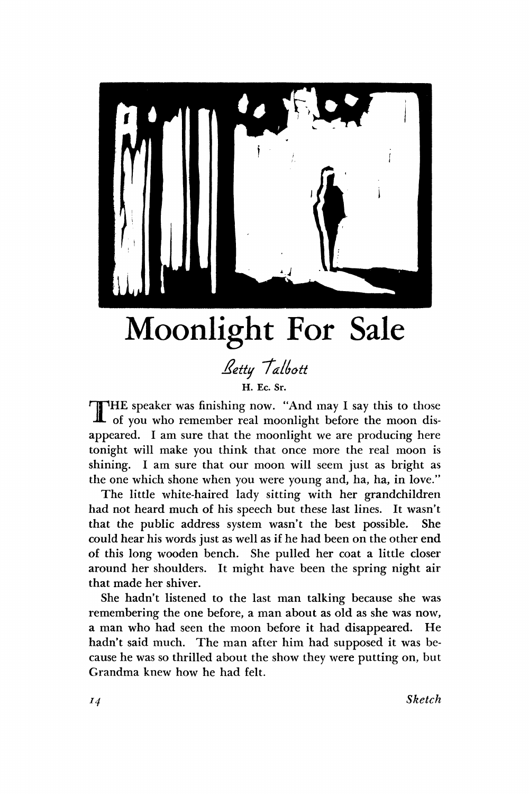

## Moonlight For Sale

## *£etty 'tatlyott*  **H. Ec. Sr.**

THE speaker was finishing now. "And may I say this to those of you who remember real moonlight before the moon dis-HE speaker was finishing now. "And may I say this to those appeared. I am sure that the moonlight we are producing here tonight will make you think that once more the real moon is shining. I am sure that our moon will seem just as bright as the one which shone when you were young and, ha, ha, in love."

The little white-haired lady sitting with her grandchildren had not heard much of his speech but these last lines. It wasn't that the public address system wasn't the best possible. She could hear his words just as well as if he had been on the other end of this long wooden bench. She pulled her coat a little closer around her shoulders. It might have been the spring night air that made her shiver.

She hadn't listened to the last man talking because she was remembering the one before, a man about as old as she was now, a man who had seen the moon before it had disappeared. He hadn't said much. The man after him had supposed it was because he was so thrilled about the show they were putting on, but Grandma knew how he had felt.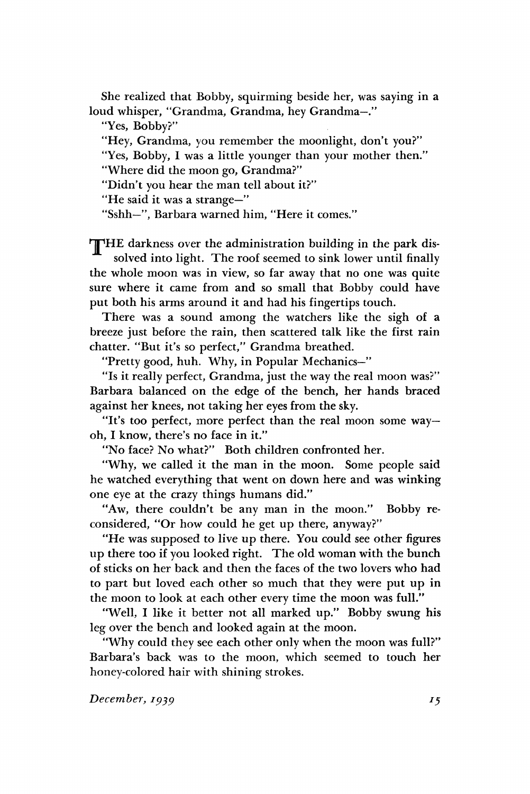She realized that Bobby, squirming beside her, was saying in a loud whisper, "Grandma, Grandma, hey Grandma—."

"Yes, Bobby?"

"Hey, Grandma, you remember the moonlight, don't you?"

"Yes, Bobby, I was a little younger than your mother then."

"Where did the moon go, Grandma?"

"Didn't you hear the man tell about it?"

"He said it was a strange—"

"Sshh—", Barbara warned him, "Here it comes."

**THE darkness over the administration building in the park dis**solved into light. The roof seemed to sink lower until finally the whole moon was in view, so far away that no one was quite sure where it came from and so small that Bobby could have put both his arms around it and had his fingertips touch.

There was a sound among the watchers like the sigh of a breeze just before the rain, then scattered talk like the first rain chatter. "But it's so perfect," Grandma breathed.

"Pretty good, huh. Why, in Popular Mechanics—"

"Is it really perfect, Grandma, just the way the real moon was?" Barbara balanced on the edge of the bench, her hands braced against her knees, not taking her eyes from the sky.

"It's too perfect, more perfect than the real moon some way oh, I know, there's no face in it."

"No face? No what?" Both children confronted her.

"Why, we called it the man in the moon. Some people said he watched everything that went on down here and was winking one eye at the crazy things humans did."

"Aw, there couldn't be any man in the moon." Bobby reconsidered, "Or how could he get up there, anyway?"

"He was supposed to live up there. You could see other figures up there too if you looked right. The old woman with the bunch of sticks on her back and then the faces of the two lovers who had to part but loved each other so much that they were put up in the moon to look at each other every time the moon was full."

"Well, I like it better not all marked up." Bobby swung his leg over the bench and looked again at the moon.

"Why could they see each other only when the moon was full?" Barbara's back was to the moon, which seemed to touch her honey-colored hair with shining strokes.

*December, 1939*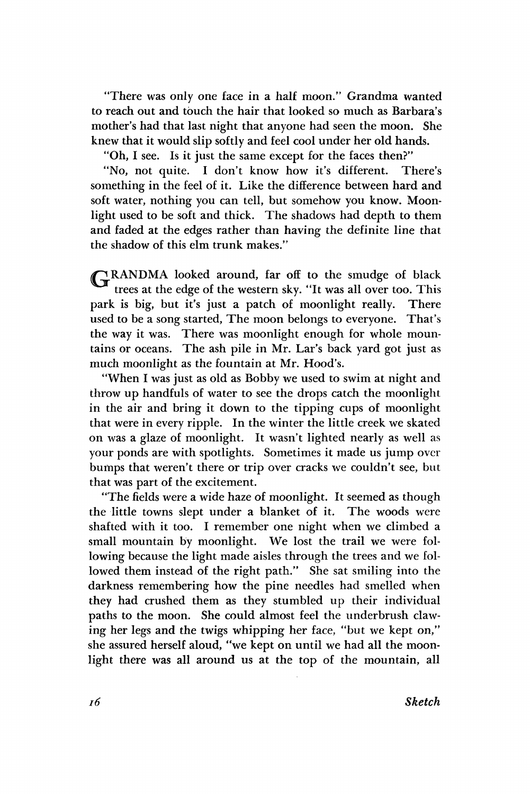"There was only one face in a half moon." Grandma wanted to reach out and touch the hair that looked so much as Barbara's mother's had that last night that anyone had seen the moon. She knew that it would slip softly and feel cool under her old hands.

"Oh, I see. Is it just the same except for the faces then?"

"No, not quite. I don't know how it's different. There's something in the feel of it. Like the difference between hard and soft water, nothing you can tell, but somehow you know. Moonlight used to be soft and thick. The shadows had depth to them and faded at the edges rather than having the definite line that the shadow of this elm trunk makes."

GRANDMA looked around, far off to the smudge of black trees at the edge of the western sky. "It was all over too. This park is big, but it's just a patch of moonlight really. There used to be a song started, The moon belongs to everyone. That's the way it was. There was moonlight enough for whole mountains or oceans. The ash pile in Mr. Lar's back yard got just as much moonlight as the fountain at Mr. Hood's.

"When I was just as old as Bobby we used to swim at night and throw up handfuls of water to see the drops catch the moonlight in the air and bring it down to the tipping cups of moonlight that were in every ripple. In the winter the little creek we skated on was a glaze of moonlight. It wasn't lighted nearly as well as your ponds are with spotlights. Sometimes it made us jump over bumps that weren't there or trip over cracks we couldn't see, but that was part of the excitement.

"The fields were a wide haze of moonlight. It seemed as though the little towns slept under a blanket of it. The woods were shafted with it too. I remember one night when we climbed a small mountain by moonlight. We lost the trail we were following because the light made aisles through the trees and we followed them instead of the right path." She sat smiling into the darkness remembering how the pine needles had smelled when they had crushed them as they stumbled up their individual paths to the moon. She could almost feel the underbrush clawing her legs and the twigs whipping her face, "but we kept on," she assured herself aloud, "we kept on until we had all the moonlight there was all around us at the top of the mountain, all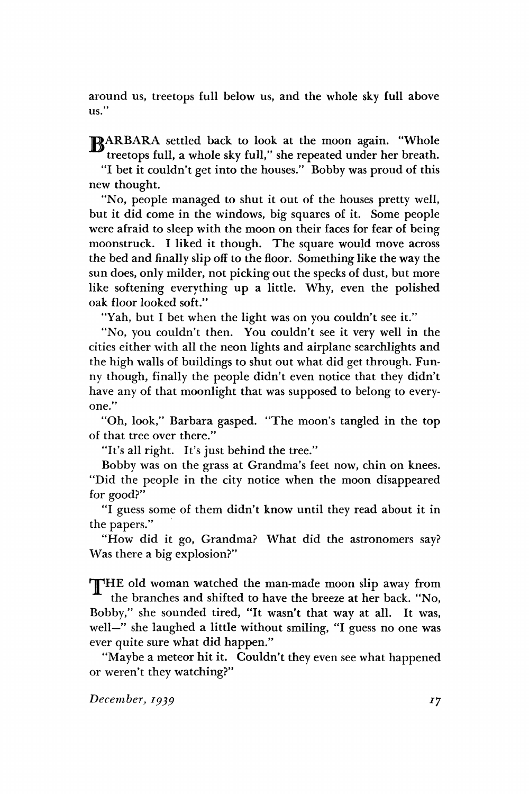around us, treetops full below us, and the whole sky full above us."

ARBARA settled back to look at the moon again. "Whole treetops full, a whole sky full," she repeated under her breath.

"I bet it couldn't get into the houses." Bobby was proud of this new thought.

"No, people managed to shut it out of the houses pretty well, but it did come in the windows, big squares of it. Some people were afraid to sleep with the moon on their faces for fear of being moonstruck. I liked it though. The square would move across the bed and finally slip off to the floor. Something like the way the sun does, only milder, not picking out the specks of dust, but more like softening everything up a little. Why, even the polished oak floor looked soft."

"Yah, but I bet when the light was on you couldn't see it."

"No, you couldn't then. You couldn't see it very well in the cities either with all the neon lights and airplane searchlights and the high walls of buildings to shut out what did get through. Funny though, finally the people didn't even notice that they didn't have any of that moonlight that was supposed to belong to everyone."

"Oh, look," Barbara gasped. "The moon's tangled in the top of that tree over there."

"It's all right. It's just behind the tree."

Bobby was on the grass at Grandma's feet now, chin on knees. "Did the people in the city notice when the moon disappeared for good?"

"I guess some of them didn't know until they read about it in the papers."

"How did it go, Grandma? What did the astronomers say? Was there a big explosion?"

THE old woman watched the man-made moon slip away from the branches and shifted to have the breeze at her back. "No, Bobby," she sounded tired, "It wasn't that way at all. It was, well—" she laughed a little without smiling, "I guess no one was ever quite sure what did happen."

"Maybe a meteor hit it. Couldn't they even see what happened or weren't they watching?"

*December, 1939*